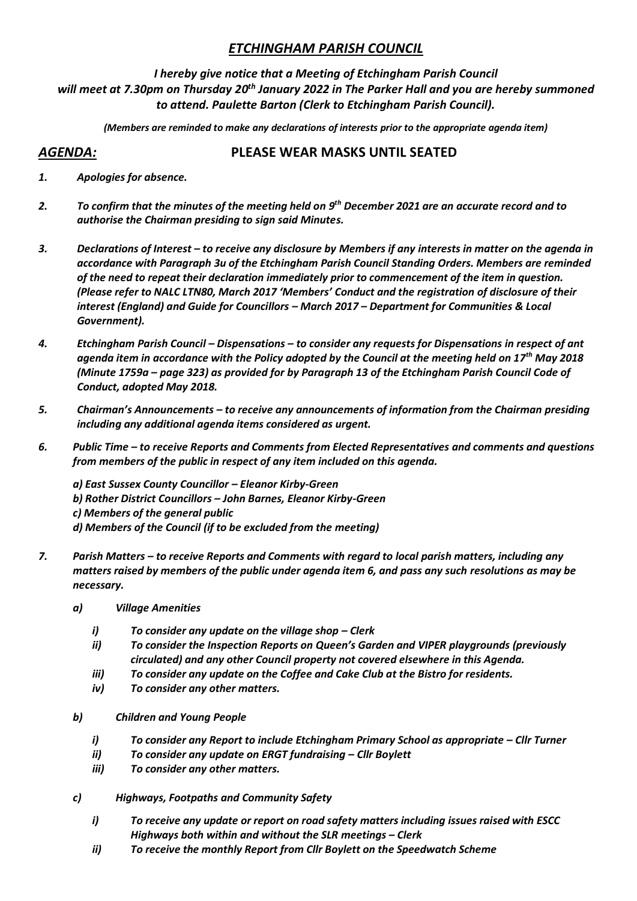# *ETCHINGHAM PARISH COUNCIL*

*I hereby give notice that a Meeting of Etchingham Parish Council will meet at 7.30pm on Thursday 20th January 2022 in The Parker Hall and you are hereby summoned to attend. Paulette Barton (Clerk to Etchingham Parish Council).* 

*(Members are reminded to make any declarations of interests prior to the appropriate agenda item)*

# *AGENDA:* **PLEASE WEAR MASKS UNTIL SEATED**

- *1. Apologies for absence.*
- *2. To confirm that the minutes of the meeting held on 9 th December 2021 are an accurate record and to authorise the Chairman presiding to sign said Minutes.*
- *3. Declarations of Interest – to receive any disclosure by Members if any interests in matter on the agenda in accordance with Paragraph 3u of the Etchingham Parish Council Standing Orders. Members are reminded of the need to repeat their declaration immediately prior to commencement of the item in question. (Please refer to NALC LTN80, March 2017 'Members' Conduct and the registration of disclosure of their interest (England) and Guide for Councillors – March 2017 – Department for Communities & Local Government).*
- *4. Etchingham Parish Council – Dispensations – to consider any requests for Dispensations in respect of ant agenda item in accordance with the Policy adopted by the Council at the meeting held on 17th May 2018 (Minute 1759a – page 323) as provided for by Paragraph 13 of the Etchingham Parish Council Code of Conduct, adopted May 2018.*
- *5. Chairman's Announcements – to receive any announcements of information from the Chairman presiding including any additional agenda items considered as urgent.*
- *6. Public Time – to receive Reports and Comments from Elected Representatives and comments and questions from members of the public in respect of any item included on this agenda.*

*a) East Sussex County Councillor – Eleanor Kirby-Green b) Rother District Councillors – John Barnes, Eleanor Kirby-Green c) Members of the general public d) Members of the Council (if to be excluded from the meeting)*

- *7. Parish Matters – to receive Reports and Comments with regard to local parish matters, including any matters raised by members of the public under agenda item 6, and pass any such resolutions as may be necessary.*
	- *a) Village Amenities*
		- *i*) *To consider any update on the village shop Clerk*
		- *ii) To consider the Inspection Reports on Queen's Garden and VIPER playgrounds (previously circulated) and any other Council property not covered elsewhere in this Agenda.*
		- *iii) To consider any update on the Coffee and Cake Club at the Bistro for residents.*
		- *iv) To consider any other matters.*
	- *b) Children and Young People*
		- *i) To consider any Report to include Etchingham Primary School as appropriate – Cllr Turner*
		- *ii) To consider any update on ERGT fundraising – Cllr Boylett*
		- *iii) To consider any other matters.*
	- *c) Highways, Footpaths and Community Safety*
		- *i) To receive any update or report on road safety matters including issues raised with ESCC Highways both within and without the SLR meetings – Clerk*
		- *ii) To receive the monthly Report from Cllr Boylett on the Speedwatch Scheme*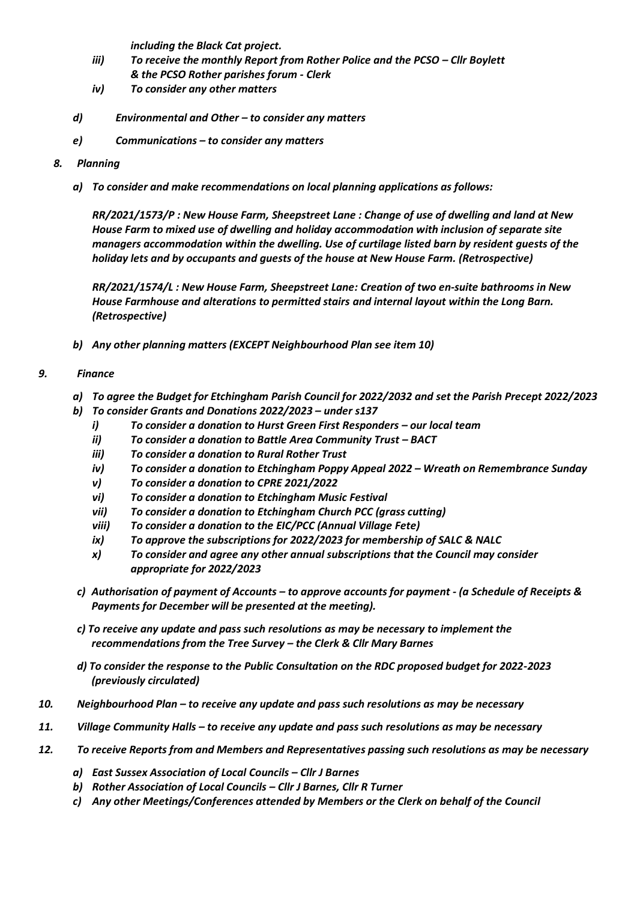*including the Black Cat project.*

- *iii*) To receive the monthly Report from Rother Police and the PCSO Cllr Boylett *& the PCSO Rother parishes forum - Clerk*
- *iv) To consider any other matters*
- *d) Environmental and Other – to consider any matters*
- *e) Communications – to consider any matters*
- *8. Planning*
	- *a) To consider and make recommendations on local planning applications as follows:*

*RR/2021/1573/P : New House Farm, Sheepstreet Lane : Change of use of dwelling and land at New House Farm to mixed use of dwelling and holiday accommodation with inclusion of separate site managers accommodation within the dwelling. Use of curtilage listed barn by resident guests of the holiday lets and by occupants and guests of the house at New House Farm. (Retrospective)*

*RR/2021/1574/L : New House Farm, Sheepstreet Lane: Creation of two en-suite bathrooms in New House Farmhouse and alterations to permitted stairs and internal layout within the Long Barn. (Retrospective)*

*b) Any other planning matters (EXCEPT Neighbourhood Plan see item 10)*

### *9. Finance*

- *a) To agree the Budget for Etchingham Parish Council for 2022/2032 and set the Parish Precept 2022/2023*
- *b) To consider Grants and Donations 2022/2023 – under s137*
	- *i) To consider a donation to Hurst Green First Responders – our local team*
	- *ii*) *To consider a donation to Battle Area Community Trust BACT*
	- *iii) To consider a donation to Rural Rother Trust*
	- *iv) To consider a donation to Etchingham Poppy Appeal 2022 – Wreath on Remembrance Sunday*
	- *v) To consider a donation to CPRE 2021/2022*
	- *vi) To consider a donation to Etchingham Music Festival*
	- *vii) To consider a donation to Etchingham Church PCC (grass cutting)*
	- *viii) To consider a donation to the EIC/PCC (Annual Village Fete)*
	- *ix) To approve the subscriptions for 2022/2023 for membership of SALC & NALC*
	- *x) To consider and agree any other annual subscriptions that the Council may consider appropriate for 2022/2023*
- *c) Authorisation of payment of Accounts – to approve accounts for payment - (a Schedule of Receipts & Payments for December will be presented at the meeting).*
- *c) To receive any update and pass such resolutions as may be necessary to implement the recommendations from the Tree Survey – the Clerk & Cllr Mary Barnes*
- *d) To consider the response to the Public Consultation on the RDC proposed budget for 2022-2023 (previously circulated)*
- *10. Neighbourhood Plan – to receive any update and pass such resolutions as may be necessary*
- *11. Village Community Halls – to receive any update and pass such resolutions as may be necessary*
- *12. To receive Reports from and Members and Representatives passing such resolutions as may be necessary*
	- *a) East Sussex Association of Local Councils – Cllr J Barnes*
	- *b) Rother Association of Local Councils – Cllr J Barnes, Cllr R Turner*
	- *c) Any other Meetings/Conferences attended by Members or the Clerk on behalf of the Council*